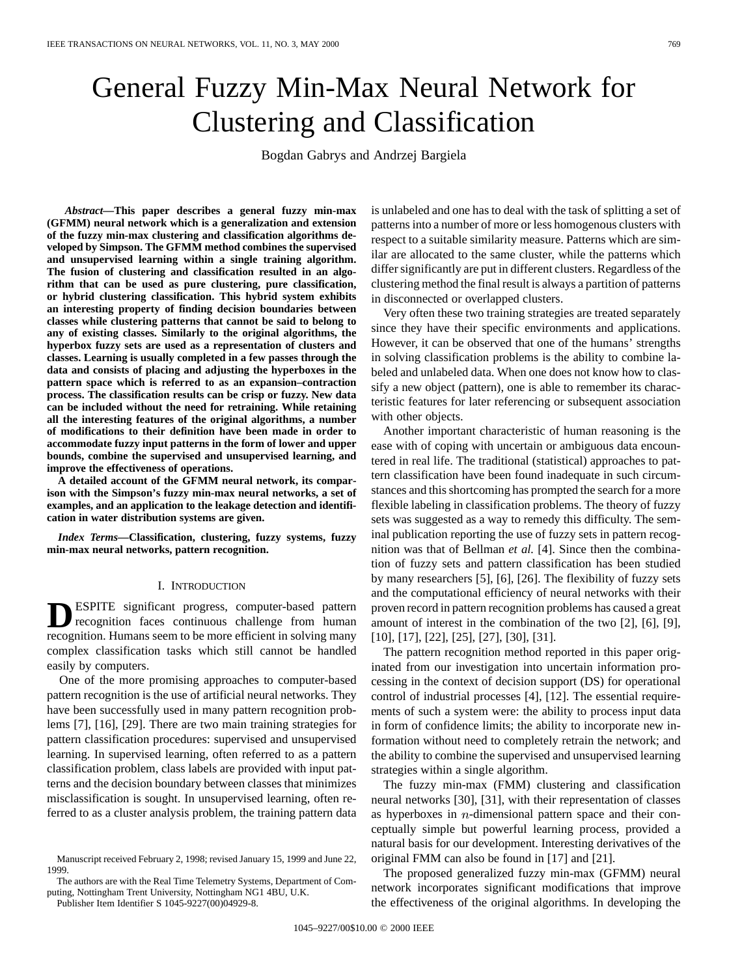# General Fuzzy Min-Max Neural Network for Clustering and Classification

Bogdan Gabrys and Andrzej Bargiela

*Abstract—***This paper describes a general fuzzy min-max (GFMM) neural network which is a generalization and extension of the fuzzy min-max clustering and classification algorithms developed by Simpson. The GFMM method combines the supervised and unsupervised learning within a single training algorithm. The fusion of clustering and classification resulted in an algorithm that can be used as pure clustering, pure classification, or hybrid clustering classification. This hybrid system exhibits an interesting property of finding decision boundaries between classes while clustering patterns that cannot be said to belong to any of existing classes. Similarly to the original algorithms, the hyperbox fuzzy sets are used as a representation of clusters and classes. Learning is usually completed in a few passes through the data and consists of placing and adjusting the hyperboxes in the pattern space which is referred to as an expansion–contraction process. The classification results can be crisp or fuzzy. New data can be included without the need for retraining. While retaining all the interesting features of the original algorithms, a number of modifications to their definition have been made in order to accommodate fuzzy input patterns in the form of lower and upper bounds, combine the supervised and unsupervised learning, and improve the effectiveness of operations.**

**A detailed account of the GFMM neural network, its comparison with the Simpson's fuzzy min-max neural networks, a set of examples, and an application to the leakage detection and identification in water distribution systems are given.**

*Index Terms—***Classification, clustering, fuzzy systems, fuzzy min-max neural networks, pattern recognition.**

### I. INTRODUCTION

**D**ESPITE significant progress, computer-based pattern<br>recognition Humans seem to be more efficient in solving monum recognition. Humans seem to be more efficient in solving many complex classification tasks which still cannot be handled easily by computers.

One of the more promising approaches to computer-based pattern recognition is the use of artificial neural networks. They have been successfully used in many pattern recognition problems [7], [16], [29]. There are two main training strategies for pattern classification procedures: supervised and unsupervised learning. In supervised learning, often referred to as a pattern classification problem, class labels are provided with input patterns and the decision boundary between classes that minimizes misclassification is sought. In unsupervised learning, often referred to as a cluster analysis problem, the training pattern data

is unlabeled and one has to deal with the task of splitting a set of patterns into a number of more or less homogenous clusters with respect to a suitable similarity measure. Patterns which are similar are allocated to the same cluster, while the patterns which differ significantly are put in different clusters. Regardless of the clustering method the final result is always a partition of patterns in disconnected or overlapped clusters.

Very often these two training strategies are treated separately since they have their specific environments and applications. However, it can be observed that one of the humans' strengths in solving classification problems is the ability to combine labeled and unlabeled data. When one does not know how to classify a new object (pattern), one is able to remember its characteristic features for later referencing or subsequent association with other objects.

Another important characteristic of human reasoning is the ease with of coping with uncertain or ambiguous data encountered in real life. The traditional (statistical) approaches to pattern classification have been found inadequate in such circumstances and this shortcoming has prompted the search for a more flexible labeling in classification problems. The theory of fuzzy sets was suggested as a way to remedy this difficulty. The seminal publication reporting the use of fuzzy sets in pattern recognition was that of Bellman *et al.* [4]. Since then the combination of fuzzy sets and pattern classification has been studied by many researchers [5], [6], [26]. The flexibility of fuzzy sets and the computational efficiency of neural networks with their proven record in pattern recognition problems has caused a great amount of interest in the combination of the two [2], [6], [9], [10], [17], [22], [25], [27], [30], [31].

The pattern recognition method reported in this paper originated from our investigation into uncertain information processing in the context of decision support (DS) for operational control of industrial processes [4], [12]. The essential requirements of such a system were: the ability to process input data in form of confidence limits; the ability to incorporate new information without need to completely retrain the network; and the ability to combine the supervised and unsupervised learning strategies within a single algorithm.

The fuzzy min-max (FMM) clustering and classification neural networks [30], [31], with their representation of classes as hyperboxes in  $n$ -dimensional pattern space and their conceptually simple but powerful learning process, provided a natural basis for our development. Interesting derivatives of the original FMM can also be found in [17] and [21].

The proposed generalized fuzzy min-max (GFMM) neural network incorporates significant modifications that improve the effectiveness of the original algorithms. In developing the

Manuscript received February 2, 1998; revised January 15, 1999 and June 22, 1999.

The authors are with the Real Time Telemetry Systems, Department of Computing, Nottingham Trent University, Nottingham NG1 4BU, U.K.

Publisher Item Identifier S 1045-9227(00)04929-8.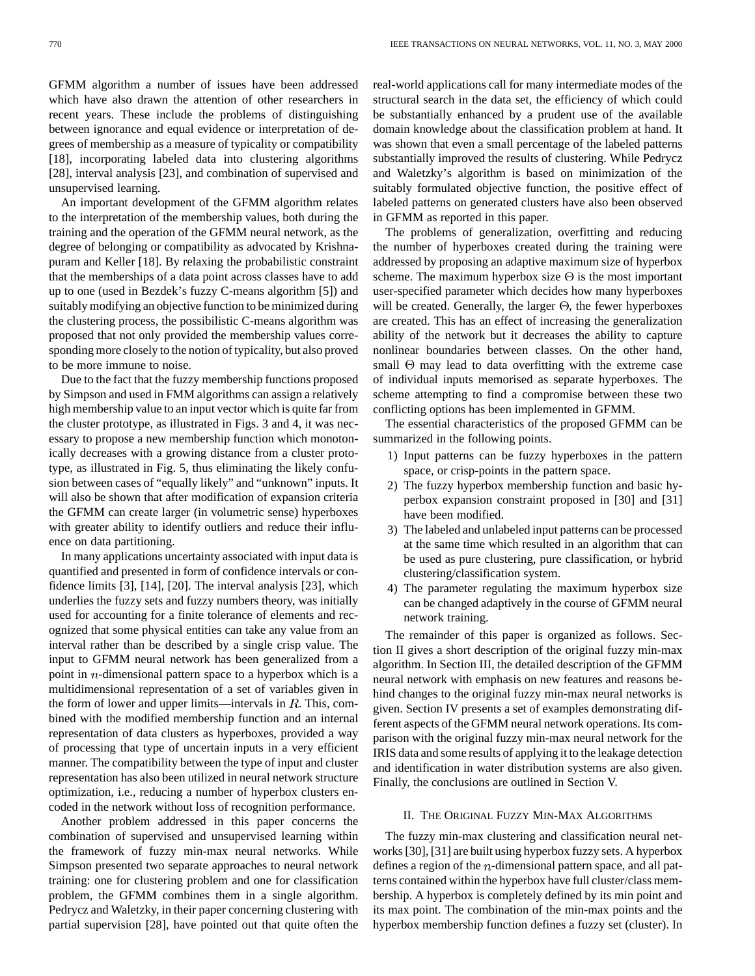GFMM algorithm a number of issues have been addressed which have also drawn the attention of other researchers in recent years. These include the problems of distinguishing between ignorance and equal evidence or interpretation of degrees of membership as a measure of typicality or compatibility [18], incorporating labeled data into clustering algorithms [28], interval analysis [23], and combination of supervised and unsupervised learning.

An important development of the GFMM algorithm relates to the interpretation of the membership values, both during the training and the operation of the GFMM neural network, as the degree of belonging or compatibility as advocated by Krishnapuram and Keller [18]. By relaxing the probabilistic constraint that the memberships of a data point across classes have to add up to one (used in Bezdek's fuzzy C-means algorithm [5]) and suitably modifying an objective function to be minimized during the clustering process, the possibilistic C-means algorithm was proposed that not only provided the membership values corresponding more closely to the notion of typicality, but also proved to be more immune to noise.

Due to the fact that the fuzzy membership functions proposed by Simpson and used in FMM algorithms can assign a relatively high membership value to an input vector which is quite far from the cluster prototype, as illustrated in Figs. 3 and 4, it was necessary to propose a new membership function which monotonically decreases with a growing distance from a cluster prototype, as illustrated in Fig. 5, thus eliminating the likely confusion between cases of "equally likely" and "unknown" inputs. It will also be shown that after modification of expansion criteria the GFMM can create larger (in volumetric sense) hyperboxes with greater ability to identify outliers and reduce their influence on data partitioning.

In many applications uncertainty associated with input data is quantified and presented in form of confidence intervals or confidence limits [3], [14], [20]. The interval analysis [23], which underlies the fuzzy sets and fuzzy numbers theory, was initially used for accounting for a finite tolerance of elements and recognized that some physical entities can take any value from an interval rather than be described by a single crisp value. The input to GFMM neural network has been generalized from a point in  $n$ -dimensional pattern space to a hyperbox which is a multidimensional representation of a set of variables given in the form of lower and upper limits—intervals in  $R$ . This, combined with the modified membership function and an internal representation of data clusters as hyperboxes, provided a way of processing that type of uncertain inputs in a very efficient manner. The compatibility between the type of input and cluster representation has also been utilized in neural network structure optimization, i.e., reducing a number of hyperbox clusters encoded in the network without loss of recognition performance.

Another problem addressed in this paper concerns the combination of supervised and unsupervised learning within the framework of fuzzy min-max neural networks. While Simpson presented two separate approaches to neural network training: one for clustering problem and one for classification problem, the GFMM combines them in a single algorithm. Pedrycz and Waletzky, in their paper concerning clustering with partial supervision [28], have pointed out that quite often the real-world applications call for many intermediate modes of the structural search in the data set, the efficiency of which could be substantially enhanced by a prudent use of the available domain knowledge about the classification problem at hand. It was shown that even a small percentage of the labeled patterns substantially improved the results of clustering. While Pedrycz and Waletzky's algorithm is based on minimization of the suitably formulated objective function, the positive effect of labeled patterns on generated clusters have also been observed in GFMM as reported in this paper.

The problems of generalization, overfitting and reducing the number of hyperboxes created during the training were addressed by proposing an adaptive maximum size of hyperbox scheme. The maximum hyperbox size  $\Theta$  is the most important user-specified parameter which decides how many hyperboxes will be created. Generally, the larger  $\Theta$ , the fewer hyperboxes are created. This has an effect of increasing the generalization ability of the network but it decreases the ability to capture nonlinear boundaries between classes. On the other hand, small  $\Theta$  may lead to data overfitting with the extreme case of individual inputs memorised as separate hyperboxes. The scheme attempting to find a compromise between these two conflicting options has been implemented in GFMM.

The essential characteristics of the proposed GFMM can be summarized in the following points.

- 1) Input patterns can be fuzzy hyperboxes in the pattern space, or crisp-points in the pattern space.
- 2) The fuzzy hyperbox membership function and basic hyperbox expansion constraint proposed in [30] and [31] have been modified.
- 3) The labeled and unlabeled input patterns can be processed at the same time which resulted in an algorithm that can be used as pure clustering, pure classification, or hybrid clustering/classification system.
- 4) The parameter regulating the maximum hyperbox size can be changed adaptively in the course of GFMM neural network training.

The remainder of this paper is organized as follows. Section II gives a short description of the original fuzzy min-max algorithm. In Section III, the detailed description of the GFMM neural network with emphasis on new features and reasons behind changes to the original fuzzy min-max neural networks is given. Section IV presents a set of examples demonstrating different aspects of the GFMM neural network operations. Its comparison with the original fuzzy min-max neural network for the IRIS data and some results of applying it to the leakage detection and identification in water distribution systems are also given. Finally, the conclusions are outlined in Section V.

## II. THE ORIGINAL FUZZY MIN-MAX ALGORITHMS

The fuzzy min-max clustering and classification neural networks [30], [31] are built using hyperbox fuzzy sets. A hyperbox defines a region of the  $n$ -dimensional pattern space, and all patterns contained within the hyperbox have full cluster/class membership. A hyperbox is completely defined by its min point and its max point. The combination of the min-max points and the hyperbox membership function defines a fuzzy set (cluster). In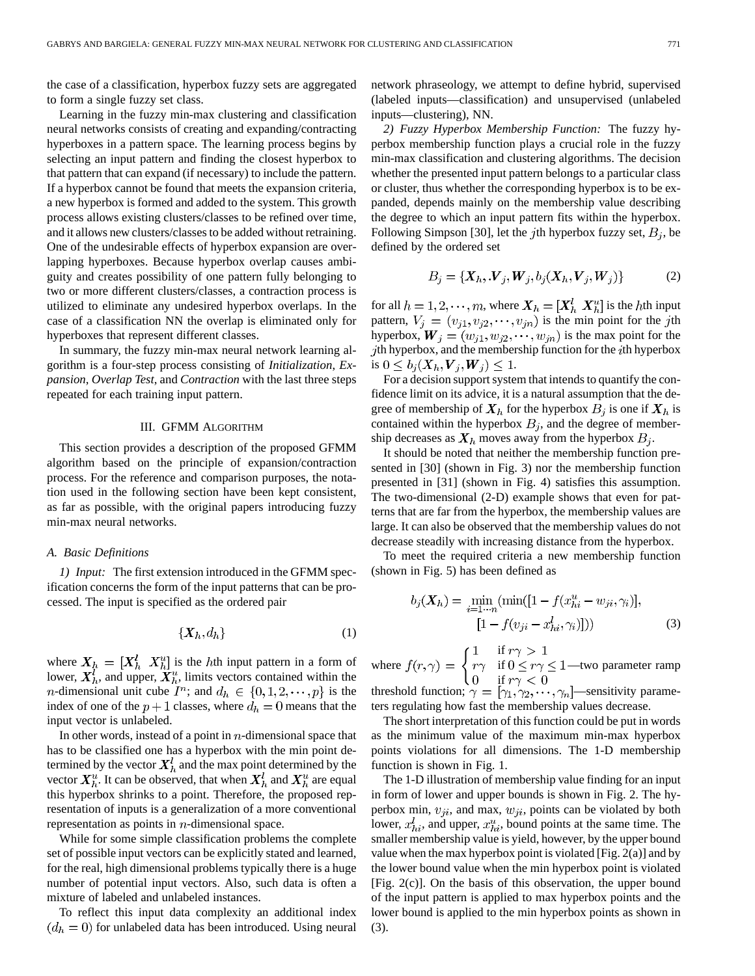the case of a classification, hyperbox fuzzy sets are aggregated to form a single fuzzy set class.

Learning in the fuzzy min-max clustering and classification neural networks consists of creating and expanding/contracting hyperboxes in a pattern space. The learning process begins by selecting an input pattern and finding the closest hyperbox to that pattern that can expand (if necessary) to include the pattern. If a hyperbox cannot be found that meets the expansion criteria, a new hyperbox is formed and added to the system. This growth process allows existing clusters/classes to be refined over time, and it allows new clusters/classes to be added without retraining. One of the undesirable effects of hyperbox expansion are overlapping hyperboxes. Because hyperbox overlap causes ambiguity and creates possibility of one pattern fully belonging to two or more different clusters/classes, a contraction process is utilized to eliminate any undesired hyperbox overlaps. In the case of a classification NN the overlap is eliminated only for hyperboxes that represent different classes.

In summary, the fuzzy min-max neural network learning algorithm is a four-step process consisting of *Initialization*, *Expansion*, *Overlap Test*, and *Contraction* with the last three steps repeated for each training input pattern.

## III. GFMM ALGORITHM

This section provides a description of the proposed GFMM algorithm based on the principle of expansion/contraction process. For the reference and comparison purposes, the notation used in the following section have been kept consistent, as far as possible, with the original papers introducing fuzzy min-max neural networks.

## *A. Basic Definitions*

*1) Input:* The first extension introduced in the GFMM specification concerns the form of the input patterns that can be processed. The input is specified as the ordered pair

$$
\left\{ \boldsymbol{X}_{h},d_{h}\right\} \tag{1}
$$

where  $X_h = [X_h^l \ X_h^u]$  is the hth input pattern in a form of lower,  $X_h^l$ , and upper,  $X_h^u$ , limits vectors contained within the *n*-dimensional unit cube  $I^n$ ; and  $d_h \in \{0, 1, 2, \dots, p\}$  is the index of one of the  $p + 1$  classes, where  $d_h = 0$  means that the input vector is unlabeled.

In other words, instead of a point in  $n$ -dimensional space that has to be classified one has a hyperbox with the min point determined by the vector  $X<sub>h</sub><sup>l</sup>$  and the max point determined by the vector  $X_h^u$ . It can be observed, that when  $X_h^l$  and  $X_h^u$  are equal this hyperbox shrinks to a point. Therefore, the proposed representation of inputs is a generalization of a more conventional representation as points in  $n$ -dimensional space.

While for some simple classification problems the complete set of possible input vectors can be explicitly stated and learned, for the real, high dimensional problems typically there is a huge number of potential input vectors. Also, such data is often a mixture of labeled and unlabeled instances.

To reflect this input data complexity an additional index  $f(d_h = 0)$  for unlabeled data has been introduced. Using neural network phraseology, we attempt to define hybrid, supervised (labeled inputs—classification) and unsupervised (unlabeled inputs—clustering), NN.

*2) Fuzzy Hyperbox Membership Function:* The fuzzy hyperbox membership function plays a crucial role in the fuzzy min-max classification and clustering algorithms. The decision whether the presented input pattern belongs to a particular class or cluster, thus whether the corresponding hyperbox is to be expanded, depends mainly on the membership value describing the degree to which an input pattern fits within the hyperbox. Following Simpson [30], let the jth hyperbox fuzzy set,  $B_i$ , be defined by the ordered set

$$
B_j = \{X_h, \mathbf{V}_j, \mathbf{W}_j, b_j(X_h, \mathbf{V}_j, \mathbf{W}_j)\}\tag{2}
$$

for all  $h = 1, 2, \dots, m$ , where  $\mathbf{X}_h = [X_h^l \ X_h^u]$  is the hth input pattern,  $V_j = (v_{j1}, v_{j2}, \dots, v_{jn})$  is the min point for the jth hyperbox,  $W_j = (w_{j1}, w_{j2}, \dots, w_{jn})$  is the max point for the *j*th hyperbox, and the membership function for the *i*th hyperbox is  $0 \leq b_j(\mathbf{X}_h, \mathbf{V}_j, \mathbf{W}_j) \leq 1$ .

For a decision support system that intends to quantify the confidence limit on its advice, it is a natural assumption that the degree of membership of  $X_h$  for the hyperbox  $B_i$  is one if  $X_h$  is contained within the hyperbox  $B_j$ , and the degree of membership decreases as  $X_h$  moves away from the hyperbox  $B_i$ .

It should be noted that neither the membership function presented in [30] (shown in Fig. 3) nor the membership function presented in [31] (shown in Fig. 4) satisfies this assumption. The two-dimensional (2-D) example shows that even for patterns that are far from the hyperbox, the membership values are large. It can also be observed that the membership values do not decrease steadily with increasing distance from the hyperbox.

To meet the required criteria a new membership function (shown in Fig. 5) has been defined as

$$
b_j(\mathbf{X}_h) = \min_{i=1...n} (\min([1 - f(x_{hi}^u - w_{ji}, \gamma_i)],
$$
  
\n
$$
[1 - f(v_{ji} - x_{hi}^l, \gamma_i)])
$$
 (3)

where if if if —two parameter ramp

threshold function;  $\gamma = [\gamma_1, \gamma_2, \cdots, \gamma_n]$ —sensitivity parameters regulating how fast the membership values decrease.

The short interpretation of this function could be put in words as the minimum value of the maximum min-max hyperbox points violations for all dimensions. The 1-D membership function is shown in Fig. 1.

The 1-D illustration of membership value finding for an input in form of lower and upper bounds is shown in Fig. 2. The hyperbox min,  $v_{ji}$ , and max,  $w_{ji}$ , points can be violated by both lower,  $x_{hi}^l$ , and upper,  $x_{hi}^u$ , bound points at the same time. The smaller membership value is yield, however, by the upper bound value when the max hyperbox point is violated [Fig.  $2(a)$ ] and by the lower bound value when the min hyperbox point is violated [Fig. 2(c)]. On the basis of this observation, the upper bound of the input pattern is applied to max hyperbox points and the lower bound is applied to the min hyperbox points as shown in (3).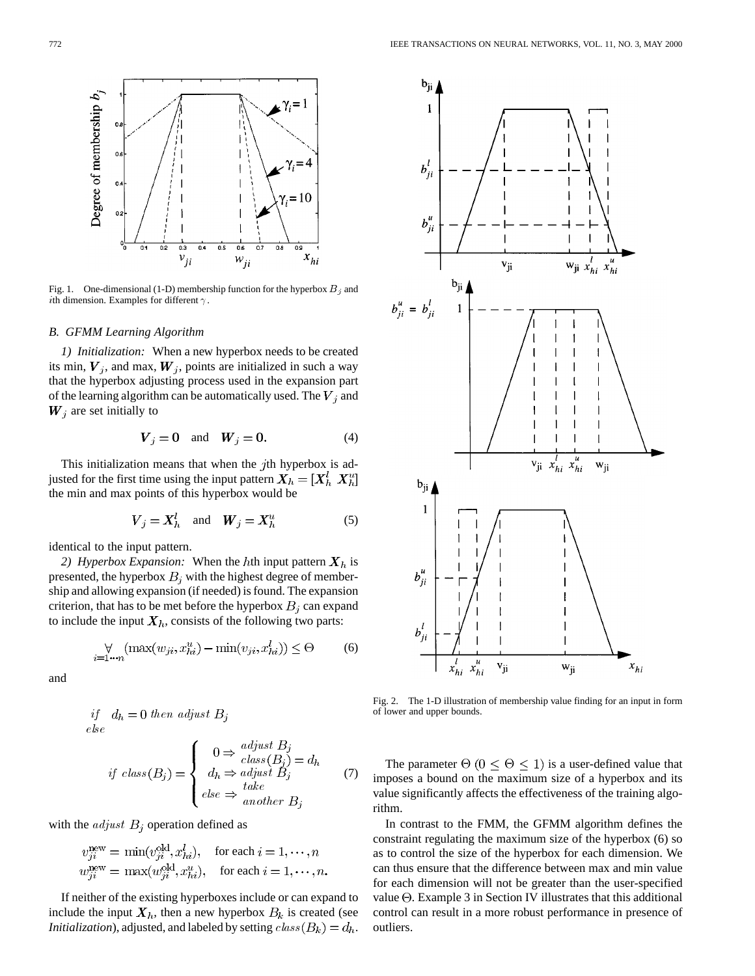

Fig. 1. One-dimensional (1-D) membership function for the hyperbox  $B_i$  and *i*th dimension. Examples for different  $\gamma$ .

## *B. GFMM Learning Algorithm*

*1) Initialization:* When a new hyperbox needs to be created its min,  $V_j$ , and max,  $W_j$ , points are initialized in such a way that the hyperbox adjusting process used in the expansion part of the learning algorithm can be automatically used. The  $V_j$  and  $W_j$  are set initially to

$$
V_j = 0 \quad \text{and} \quad W_j = 0. \tag{4}
$$

This initialization means that when the  $j$ th hyperbox is adjusted for the first time using the input pattern  $X_h = [X_h^l \, X_h^u]$ the min and max points of this hyperbox would be

$$
\boldsymbol{V}_j = \boldsymbol{X}_h^l \quad \text{and} \quad \boldsymbol{W}_j = \boldsymbol{X}_h^u \tag{5}
$$

identical to the input pattern.

*2) Hyperbox Expansion:* When the  $h$ th input pattern  $X_h$  is presented, the hyperbox  $B_i$  with the highest degree of membership and allowing expansion (if needed) is found. The expansion criterion, that has to be met before the hyperbox  $B_i$  can expand to include the input  $X<sub>h</sub>$ , consists of the following two parts:

$$
\forall \lim_{i=1\cdots n} (\max(w_{ji}, x_{hi}^u) - \min(v_{ji}, x_{hi}^l)) \leq \Theta \tag{6}
$$

and

if 
$$
d_h = 0
$$
 then adjust  $B_j$   
\nelse  
\nif class $(B_j)$  = 
$$
\begin{cases}\n0 \Rightarrow \text{ adjust } B_j \\
\text{class}(B_j) = d_h \\
d_h \Rightarrow \text{ adjust } B_j \\
\text{else } \Rightarrow \text{ take} \\
\text{another } B_j\n\end{cases}
$$
\n(7)

with the *adjust*  $B_j$  operation defined as

$$
v_{ji}^{\text{new}} = \min(v_{ji}^{\text{old}}, x_{hi}^l), \quad \text{for each } i = 1, \dots, n
$$
  

$$
w_{ji}^{\text{new}} = \max(w_{ji}^{\text{old}}, x_{hi}^u), \quad \text{for each } i = 1, \dots, n.
$$

If neither of the existing hyperboxes include or can expand to include the input  $X_h$ , then a new hyperbox  $B_k$  is created (see *Initialization*), adjusted, and labeled by setting  $class(B_k) = d_h$ .



Fig. 2. The 1-D illustration of membership value finding for an input in form of lower and upper bounds.

The parameter  $\Theta$  ( $0 \leq \Theta \leq 1$ ) is a user-defined value that imposes a bound on the maximum size of a hyperbox and its value significantly affects the effectiveness of the training algorithm.

In contrast to the FMM, the GFMM algorithm defines the constraint regulating the maximum size of the hyperbox (6) so as to control the size of the hyperbox for each dimension. We can thus ensure that the difference between max and min value for each dimension will not be greater than the user-specified value  $\Theta$ . Example 3 in Section IV illustrates that this additional control can result in a more robust performance in presence of outliers.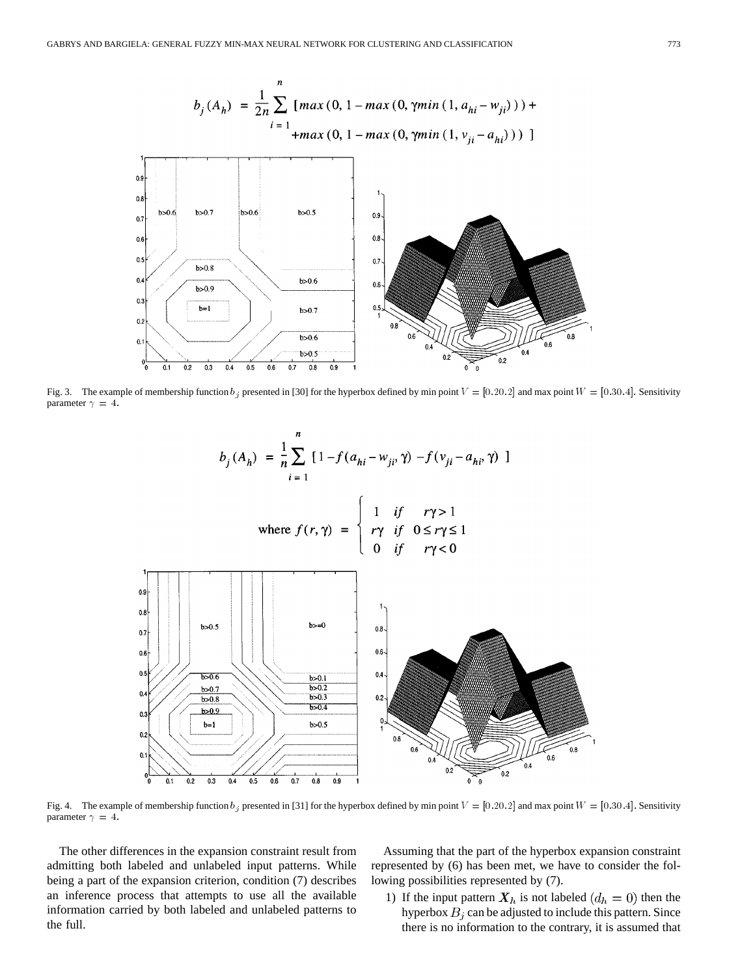$$
b_j(A_h) = \frac{1}{2n} \sum_{i=1}^n \left[ max(0, 1 - max(0, \gamma min(1, a_{hi} - w_{ji}))) + \right. \\
 \left. + max(0, 1 - max(0, \gamma min(1, v_{ji} - a_{hi}))) \right]
$$



Fig. 3. The example of membership function  $b_j$  presented in [30] for the hyperbox defined by min point  $V = [0.20.2]$  and max point  $W = [0.30.4]$ . Sensitivity parameter  $\gamma = 4$ .



Fig. 4. The example of membership function  $b_j$  presented in [31] for the hyperbox defined by min point  $V = [0.20.2]$  and max point  $W = [0.30.4]$ . Sensitivity parameter  $\gamma = 4$ .

The other differences in the expansion constraint result from admitting both labeled and unlabeled input patterns. While being a part of the expansion criterion, condition (7) describes an inference process that attempts to use all the available information carried by both labeled and unlabeled patterns to the full.

Assuming that the part of the hyperbox expansion constraint represented by (6) has been met, we have to consider the following possibilities represented by (7).

1) If the input pattern  $X_h$  is not labeled  $(d_h = 0)$  then the hyperbox  $B_i$  can be adjusted to include this pattern. Since there is no information to the contrary, it is assumed that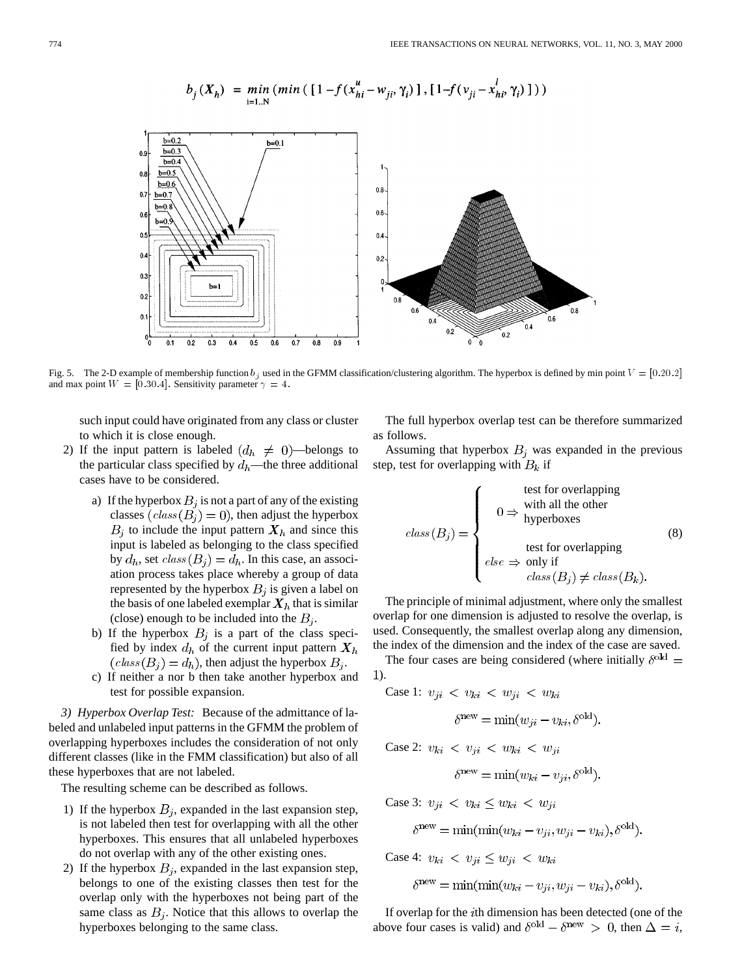$$
b_j(X_h) = \min_{i=1..N} (\min\left( [1 - f(x_{hi}^u - w_{ji}, \gamma_i)] , [1 - f(v_{ji} - x_{hi}^l, \gamma_i)] \right))
$$



Fig. 5. The 2-D example of membership function  $b_j$  used in the GFMM classification/clustering algorithm. The hyperbox is defined by min point  $V = [0.20.2]$ and max point  $W = [0.30.4]$ . Sensitivity parameter  $\gamma = 4$ .

such input could have originated from any class or cluster to which it is close enough.

- 2) If the input pattern is labeled  $(d_h \neq 0)$ —belongs to the particular class specified by  $d_h$ —the three additional cases have to be considered.
	- a) If the hyperbox  $B_i$  is not a part of any of the existing classes ( $class(B_i) = 0$ ), then adjust the hyperbox  $B_j$  to include the input pattern  $X_h$  and since this input is labeled as belonging to the class specified by  $d_h$ , set  $class(B_j) = d_h$ . In this case, an association process takes place whereby a group of data represented by the hyperbox  $B_j$  is given a label on the basis of one labeled exemplar  $X_h$  that is similar (close) enough to be included into the  $B_i$ .
	- b) If the hyperbox  $B_i$  is a part of the class specified by index  $d_h$  of the current input pattern  $X_h$  $\left( class(B_i) = d_h \right)$ , then adjust the hyperbox  $B_i$ .
	- c) If neither a nor b then take another hyperbox and test for possible expansion.

*3) Hyperbox Overlap Test:* Because of the admittance of labeled and unlabeled input patterns in the GFMM the problem of overlapping hyperboxes includes the consideration of not only different classes (like in the FMM classification) but also of all these hyperboxes that are not labeled.

The resulting scheme can be described as follows.

- 1) If the hyperbox  $B_i$ , expanded in the last expansion step, is not labeled then test for overlapping with all the other hyperboxes. This ensures that all unlabeled hyperboxes do not overlap with any of the other existing ones.
- 2) If the hyperbox  $B_i$ , expanded in the last expansion step, belongs to one of the existing classes then test for the overlap only with the hyperboxes not being part of the same class as  $B_i$ . Notice that this allows to overlap the hyperboxes belonging to the same class.

The full hyperbox overlap test can be therefore summarized as follows.

Assuming that hyperbox  $B_i$  was expanded in the previous step, test for overlapping with  $B_k$  if

$$
class(B_j) = \begin{cases} \text{test for overlapping} \\ 0 \Rightarrow \text{ with all the other} \\ \text{hyperboxes} \\ \text{test for overlapping} \\ \text{else } \Rightarrow \text{ only if} \\ \text{class}(B_j) \neq \text{class}(B_k). \end{cases} \tag{8}
$$

The principle of minimal adjustment, where only the smallest overlap for one dimension is adjusted to resolve the overlap, is used. Consequently, the smallest overlap along any dimension, the index of the dimension and the index of the case are saved.

The four cases are being considered (where initially  $\delta^{\text{old}} =$ ).

Case 1: 
$$
v_{ji} < v_{ki} < w_{ji} < w_{ki}
$$
  
\n
$$
\delta^{\text{new}} = \min(w_{ji} - v_{ki}, \delta^{\text{old}}).
$$

Case 2:  $v_{ki} < v_{ji} < w_{ki} < w_{ji}$ 

$$
\delta^{\text{new}} = \min(w_{ki} - v_{ji}, \delta^{\text{old}}).
$$

Case 3:  $v_{ii} < v_{ki} \leq w_{ki} < w_{ii}$ 

$$
\delta^{\text{new}} = \min(\min(w_{ki} - v_{ji}, w_{ji} - v_{ki}), \delta^{\text{old}})
$$

Case 4:  $v_{ki} < v_{ii} \leq w_{ii} < w_{ki}$ 

$$
\delta^{\text{new}} = \min(\min(w_{ki} - v_{ji}, w_{ji} - v_{ki}), \delta^{\text{old}}).
$$

If overlap for the  $i$ th dimension has been detected (one of the above four cases is valid) and  $\delta^{\text{old}} - \delta^{\text{new}} > 0$ , then  $\Delta = i$ ,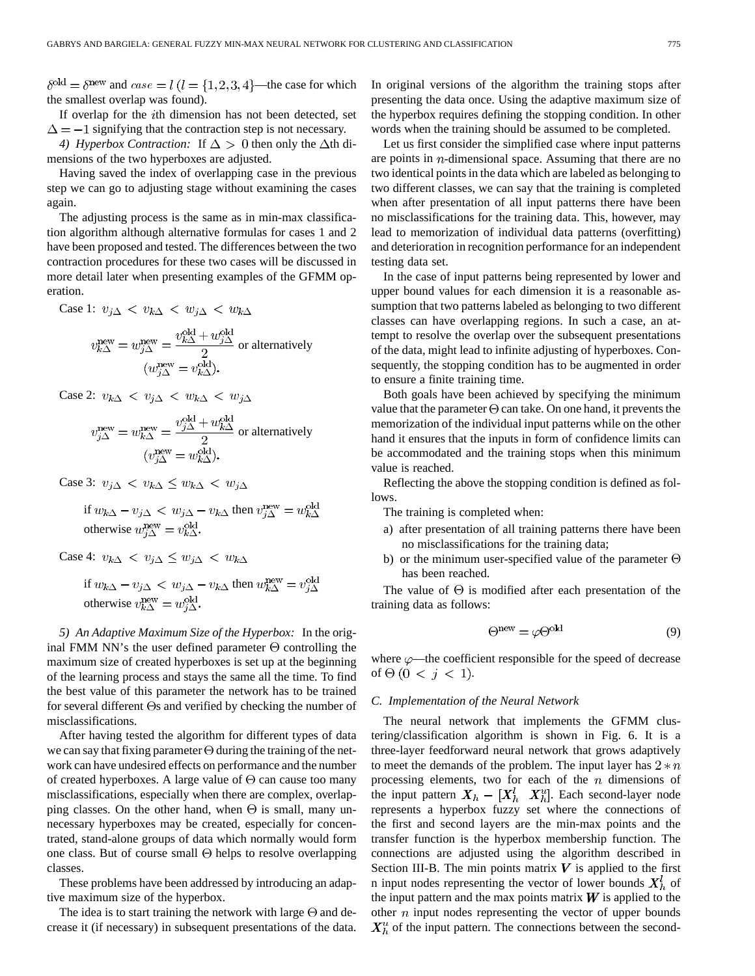$\delta^{\text{old}} = \delta^{\text{new}}$  and  $case = l$   $(l = \{1, 2, 3, 4\}$ —the case for which the smallest overlap was found).

If overlap for the  $i$ th dimension has not been detected, set  $\Delta = -1$  signifying that the contraction step is not necessary.

*4) Hyperbox Contraction:* If  $\Delta > 0$  then only the  $\Delta$ th dimensions of the two hyperboxes are adjusted.

Having saved the index of overlapping case in the previous step we can go to adjusting stage without examining the cases again.

The adjusting process is the same as in min-max classification algorithm although alternative formulas for cases 1 and 2 have been proposed and tested. The differences between the two contraction procedures for these two cases will be discussed in more detail later when presenting examples of the GFMM operation.

Case 1: 
$$
v_{j\Delta} < v_{k\Delta} < w_{j\Delta} < w_{k\Delta}
$$

$$
v_{k\Delta}^{\text{new}} = w_{j\Delta}^{\text{new}} = \frac{v_{k\Delta}^{\text{old}} + w_{j\Delta}^{\text{old}}}{2} \text{ or alternatively}
$$

$$
(w_{j\Delta}^{\text{new}} = v_{k\Delta}^{\text{old}}).
$$

Case 2:  $v_{k\Delta}$  <  $v_{j\Delta}$  <  $w_{k\Delta}$  <  $w_{j\Delta}$ 

$$
v_{j\Delta}^{\text{new}} = w_{k\Delta}^{\text{new}} = \frac{v_{j\Delta}^{\text{old}} + w_{k\Delta}^{\text{old}}}{2} \text{ or alternatively}
$$

$$
(v_{j\Delta}^{\text{new}} = w_{k\Delta}^{\text{old}}).
$$

Case 3:  $v_{i\Delta}$  <  $v_{k\Delta} \leq w_{k\Delta}$  <  $w_{i\Delta}$ 

if 
$$
w_{k\Delta} - v_{j\Delta} < w_{j\Delta} - v_{k\Delta}
$$
 then  $v_{j\Delta}^{\text{new}} = w_{k\Delta}^{\text{old}}$   
otherwise  $w_{j\Delta}^{\text{new}} = v_{k\Delta}^{\text{old}}$ .

Case 4:  $v_{k\Delta}$  <  $v_{i\Delta} \leq w_{i\Delta}$  <  $w_{k\Delta}$ 

if 
$$
w_{k\Delta} - v_{j\Delta} < w_{j\Delta} - v_{k\Delta}
$$
 then  $w_{k\Delta}^{\text{new}} = v_{j\Delta}^{\text{old}}$   
otherwise  $v_{k\Delta}^{\text{new}} = w_{j\Delta}^{\text{old}}$ .

*5) An Adaptive Maximum Size of the Hyperbox:* In the original FMM NN's the user defined parameter  $\Theta$  controlling the maximum size of created hyperboxes is set up at the beginning of the learning process and stays the same all the time. To find the best value of this parameter the network has to be trained for several different  $\Theta$ s and verified by checking the number of misclassifications.

After having tested the algorithm for different types of data we can say that fixing parameter  $\Theta$  during the training of the network can have undesired effects on performance and the number of created hyperboxes. A large value of  $\Theta$  can cause too many misclassifications, especially when there are complex, overlapping classes. On the other hand, when  $\Theta$  is small, many unnecessary hyperboxes may be created, especially for concentrated, stand-alone groups of data which normally would form one class. But of course small  $\Theta$  helps to resolve overlapping classes.

These problems have been addressed by introducing an adaptive maximum size of the hyperbox.

The idea is to start training the network with large  $\Theta$  and decrease it (if necessary) in subsequent presentations of the data. In original versions of the algorithm the training stops after presenting the data once. Using the adaptive maximum size of the hyperbox requires defining the stopping condition. In other words when the training should be assumed to be completed.

Let us first consider the simplified case where input patterns are points in  $n$ -dimensional space. Assuming that there are no two identical points in the data which are labeled as belonging to two different classes, we can say that the training is completed when after presentation of all input patterns there have been no misclassifications for the training data. This, however, may lead to memorization of individual data patterns (overfitting) and deterioration in recognition performance for an independent testing data set.

In the case of input patterns being represented by lower and upper bound values for each dimension it is a reasonable assumption that two patterns labeled as belonging to two different classes can have overlapping regions. In such a case, an attempt to resolve the overlap over the subsequent presentations of the data, might lead to infinite adjusting of hyperboxes. Consequently, the stopping condition has to be augmented in order to ensure a finite training time.

Both goals have been achieved by specifying the minimum value that the parameter  $\Theta$  can take. On one hand, it prevents the memorization of the individual input patterns while on the other hand it ensures that the inputs in form of confidence limits can be accommodated and the training stops when this minimum value is reached.

Reflecting the above the stopping condition is defined as follows.

The training is completed when:

- a) after presentation of all training patterns there have been no misclassifications for the training data;
- b) or the minimum user-specified value of the parameter  $\Theta$ has been reached.

The value of  $\Theta$  is modified after each presentation of the training data as follows:

$$
\Theta^{\text{new}} = \varphi \Theta^{\text{old}} \tag{9}
$$

where  $\varphi$ —the coefficient responsible for the speed of decrease of  $\Theta$  (0 < j < 1).

#### *C. Implementation of the Neural Network*

The neural network that implements the GFMM clustering/classification algorithm is shown in Fig. 6. It is a three-layer feedforward neural network that grows adaptively to meet the demands of the problem. The input layer has  $2*n$ processing elements, two for each of the  $n$  dimensions of the input pattern  $X_h - [X_h^l \ X_h^u]$ . Each second-layer node represents a hyperbox fuzzy set where the connections of the first and second layers are the min-max points and the transfer function is the hyperbox membership function. The connections are adjusted using the algorithm described in Section III-B. The min points matrix  $V$  is applied to the first n input nodes representing the vector of lower bounds  $X_h^l$  of the input pattern and the max points matrix  $W$  is applied to the other  $n$  input nodes representing the vector of upper bounds  $X_h^u$  of the input pattern. The connections between the second-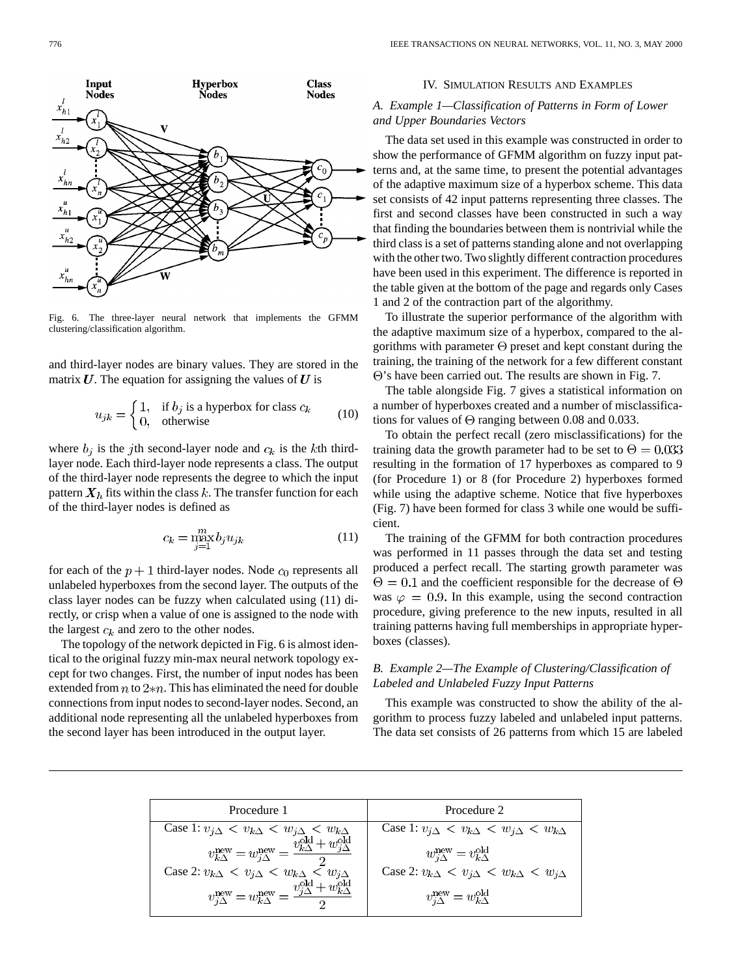

Fig. 6. The three-layer neural network that implements the GFMM clustering/classification algorithm.

and third-layer nodes are binary values. They are stored in the matrix  $U$ . The equation for assigning the values of  $U$  is

$$
u_{jk} = \begin{cases} 1, & \text{if } b_j \text{ is a hyperbox for class } c_k \\ 0, & \text{otherwise} \end{cases}
$$
 (10)

where  $b_j$  is the jth second-layer node and  $c_k$  is the kth thirdlayer node. Each third-layer node represents a class. The output of the third-layer node represents the degree to which the input pattern  $\mathbf{X}_h$  fits within the class k. The transfer function for each of the third-layer nodes is defined as

$$
c_k = \max_{j=1}^{m} b_j u_{jk} \tag{11}
$$

for each of the  $p + 1$  third-layer nodes. Node  $c_0$  represents all unlabeled hyperboxes from the second layer. The outputs of the class layer nodes can be fuzzy when calculated using (11) directly, or crisp when a value of one is assigned to the node with the largest  $c_k$  and zero to the other nodes.

The topology of the network depicted in Fig. 6 is almost identical to the original fuzzy min-max neural network topology except for two changes. First, the number of input nodes has been extended from  $n \times 2 \times n$ . This has eliminated the need for double connections from input nodes to second-layer nodes. Second, an additional node representing all the unlabeled hyperboxes from the second layer has been introduced in the output layer.

#### IV. SIMULATION RESULTS AND EXAMPLES

# *A. Example 1—Classification of Patterns in Form of Lower and Upper Boundaries Vectors*

The data set used in this example was constructed in order to show the performance of GFMM algorithm on fuzzy input patterns and, at the same time, to present the potential advantages of the adaptive maximum size of a hyperbox scheme. This data set consists of 42 input patterns representing three classes. The first and second classes have been constructed in such a way that finding the boundaries between them is nontrivial while the third class is a set of patterns standing alone and not overlapping with the other two. Two slightly different contraction procedures have been used in this experiment. The difference is reported in the table given at the bottom of the page and regards only Cases 1 and 2 of the contraction part of the algorithmy.

To illustrate the superior performance of the algorithm with the adaptive maximum size of a hyperbox, compared to the algorithms with parameter  $\Theta$  preset and kept constant during the training, the training of the network for a few different constant  $\Theta$ 's have been carried out. The results are shown in Fig. 7.

The table alongside Fig. 7 gives a statistical information on a number of hyperboxes created and a number of misclassifications for values of  $\Theta$  ranging between 0.08 and 0.033.

To obtain the perfect recall (zero misclassifications) for the training data the growth parameter had to be set to  $\Theta = 0.033$ resulting in the formation of 17 hyperboxes as compared to 9 (for Procedure 1) or 8 (for Procedure 2) hyperboxes formed while using the adaptive scheme. Notice that five hyperboxes (Fig. 7) have been formed for class 3 while one would be sufficient.

The training of the GFMM for both contraction procedures was performed in 11 passes through the data set and testing produced a perfect recall. The starting growth parameter was  $\Theta = 0.1$  and the coefficient responsible for the decrease of  $\Theta$ was  $\varphi = 0.9$ . In this example, using the second contraction procedure, giving preference to the new inputs, resulted in all training patterns having full memberships in appropriate hyperboxes (classes).

# *B. Example 2—The Example of Clustering/Classification of Labeled and Unlabeled Fuzzy Input Patterns*

This example was constructed to show the ability of the algorithm to process fuzzy labeled and unlabeled input patterns. The data set consists of 26 patterns from which 15 are labeled

| Proceedure 1                                                                                                          | Proceedure 2                                                    |
|-----------------------------------------------------------------------------------------------------------------------|-----------------------------------------------------------------|
| Case 1: $v_{j\Delta} < v_{k\Delta} < w_{j\Delta} < w_{k\Delta}$                                                       | Case 1: $v_{j\Delta} < v_{k\Delta} < w_{j\Delta} < w_{k\Delta}$ |
| $v_{k\Delta}^{\text{new}} = w_{j\Delta}^{\text{new}} = \frac{v_{k\Delta}^{\text{old}} + w_{j\Delta}^{\text{old}}}{2}$ | Case 2: $v_{k\Delta} < v_{j\Delta} < w_{k\Delta} < w_{j\Delta}$ |
| Case 2: $v_{k\Delta} < v_{j\Delta} < w_{k\Delta} < w_{j\Delta}$                                                       | Case 2: $v_{k\Delta} < v_{j\Delta} < w_{k\Delta} < w_{j\Delta}$ |
| $v_{j\Delta}^{\text{new}} = w_{k\Delta}^{\text{new}} = \frac{v_{j\Delta}^{\text{old}} + w_{k\Delta}^{\text{old}}}{2}$ | Case 2: $v_{k\Delta} < v_{j\Delta} < w_{k\Delta} < w_{j\Delta}$ |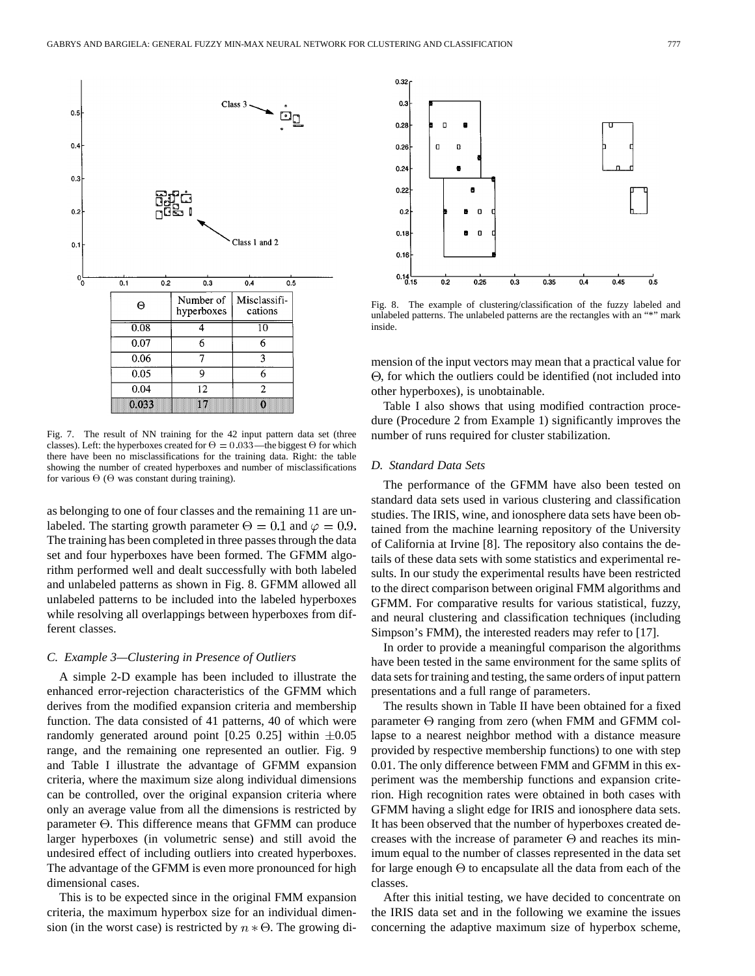

Fig. 7. The result of NN training for the 42 input pattern data set (three classes). Left: the hyperboxes created for  $\Theta = 0.033$ —the biggest  $\Theta$  for which there have been no misclassifications for the training data. Right: the table showing the number of created hyperboxes and number of misclassifications for various  $\Theta$  ( $\Theta$  was constant during training).

as belonging to one of four classes and the remaining 11 are unlabeled. The starting growth parameter  $\Theta = 0.1$  and  $\varphi = 0.9$ . The training has been completed in three passes through the data set and four hyperboxes have been formed. The GFMM algorithm performed well and dealt successfully with both labeled and unlabeled patterns as shown in Fig. 8. GFMM allowed all unlabeled patterns to be included into the labeled hyperboxes while resolving all overlappings between hyperboxes from different classes.

## *C. Example 3—Clustering in Presence of Outliers*

A simple 2-D example has been included to illustrate the enhanced error-rejection characteristics of the GFMM which derives from the modified expansion criteria and membership function. The data consisted of 41 patterns, 40 of which were randomly generated around point  $[0.25 \ 0.25]$  within  $\pm 0.05$ range, and the remaining one represented an outlier. Fig. 9 and Table I illustrate the advantage of GFMM expansion criteria, where the maximum size along individual dimensions can be controlled, over the original expansion criteria where only an average value from all the dimensions is restricted by parameter  $\Theta$ . This difference means that GFMM can produce larger hyperboxes (in volumetric sense) and still avoid the undesired effect of including outliers into created hyperboxes. The advantage of the GFMM is even more pronounced for high dimensional cases.

This is to be expected since in the original FMM expansion criteria, the maximum hyperbox size for an individual dimension (in the worst case) is restricted by  $n \times \Theta$ . The growing di-



Fig. 8. The example of clustering/classification of the fuzzy labeled and unlabeled patterns. The unlabeled patterns are the rectangles with an "\*" mark inside.

mension of the input vectors may mean that a practical value for  $\Theta$ , for which the outliers could be identified (not included into other hyperboxes), is unobtainable.

Table I also shows that using modified contraction procedure (Procedure 2 from Example 1) significantly improves the number of runs required for cluster stabilization.

# *D. Standard Data Sets*

The performance of the GFMM have also been tested on standard data sets used in various clustering and classification studies. The IRIS, wine, and ionosphere data sets have been obtained from the machine learning repository of the University of California at Irvine [8]. The repository also contains the details of these data sets with some statistics and experimental results. In our study the experimental results have been restricted to the direct comparison between original FMM algorithms and GFMM. For comparative results for various statistical, fuzzy, and neural clustering and classification techniques (including Simpson's FMM), the interested readers may refer to [17].

In order to provide a meaningful comparison the algorithms have been tested in the same environment for the same splits of data sets for training and testing, the same orders of input pattern presentations and a full range of parameters.

The results shown in Table II have been obtained for a fixed parameter  $\Theta$  ranging from zero (when FMM and GFMM collapse to a nearest neighbor method with a distance measure provided by respective membership functions) to one with step 0.01. The only difference between FMM and GFMM in this experiment was the membership functions and expansion criterion. High recognition rates were obtained in both cases with GFMM having a slight edge for IRIS and ionosphere data sets. It has been observed that the number of hyperboxes created decreases with the increase of parameter  $\Theta$  and reaches its minimum equal to the number of classes represented in the data set for large enough  $\Theta$  to encapsulate all the data from each of the classes.

After this initial testing, we have decided to concentrate on the IRIS data set and in the following we examine the issues concerning the adaptive maximum size of hyperbox scheme,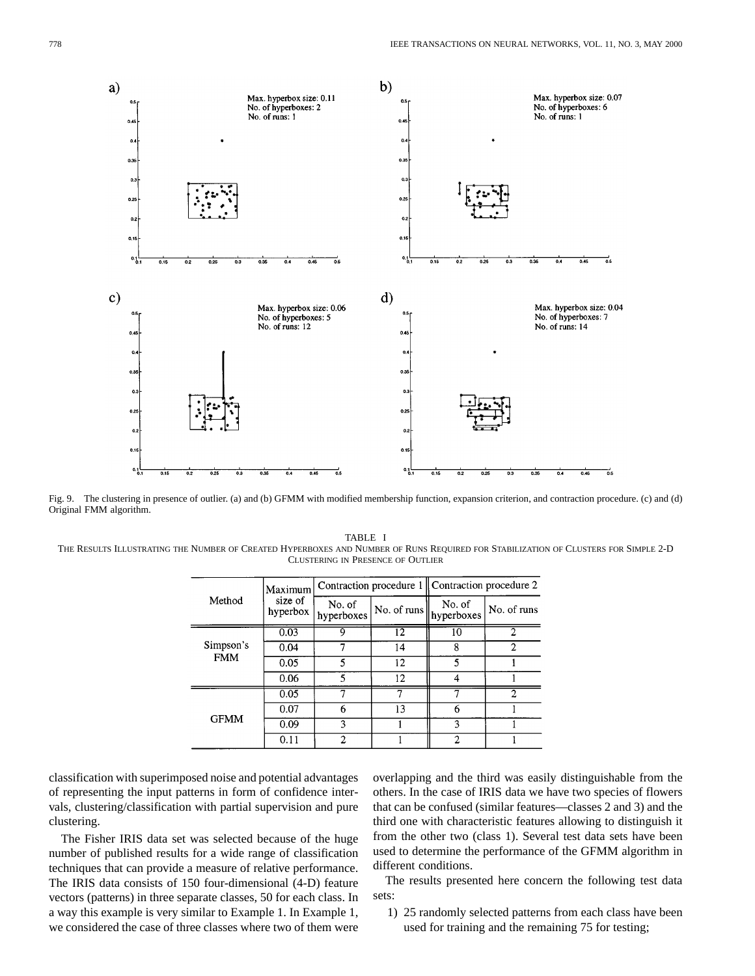

Fig. 9. The clustering in presence of outlier. (a) and (b) GFMM with modified membership function, expansion criterion, and contraction procedure. (c) and (d) Original FMM algorithm.

| TABLE.                                                                                                                             |
|------------------------------------------------------------------------------------------------------------------------------------|
| THE RESULTS ILLUSTRATING THE NUMBER OF CREATED HYPERBOXES AND NUMBER OF RUNS REQUIRED FOR STABILIZATION OF CLUSTERS FOR SIMPLE 2-D |
| CLUSTERING IN PRESENCE OF OUTLIER                                                                                                  |

|             | Maximum             |                      |     | Contraction procedure $1$   Contraction procedure 2 |             |  |
|-------------|---------------------|----------------------|-----|-----------------------------------------------------|-------------|--|
| Method      | size of<br>hyperbox | No. of<br>hyperboxes |     | No. of<br>No. of runs $\ $ hyperboxes               | No. of runs |  |
|             | 0.03                | 9                    | 12  | 10                                                  |             |  |
| Simpson's   | 0.04                | 7                    | 14  | 8                                                   |             |  |
| <b>FMM</b>  | 0.05                | 5                    | 12  | 5                                                   |             |  |
|             | 0.06                | ς                    | 12. |                                                     |             |  |
|             | 0.05                |                      |     |                                                     |             |  |
|             | 0.07                |                      | 13  | 6                                                   |             |  |
| <b>GFMM</b> | 0.09                | 3                    |     | ٩                                                   |             |  |
|             | 0.11                | $\mathfrak{2}$       |     | $\overline{2}$                                      |             |  |

classification with superimposed noise and potential advantages of representing the input patterns in form of confidence intervals, clustering/classification with partial supervision and pure clustering.

The Fisher IRIS data set was selected because of the huge number of published results for a wide range of classification techniques that can provide a measure of relative performance. The IRIS data consists of 150 four-dimensional (4-D) feature vectors (patterns) in three separate classes, 50 for each class. In a way this example is very similar to Example 1. In Example 1, we considered the case of three classes where two of them were overlapping and the third was easily distinguishable from the others. In the case of IRIS data we have two species of flowers that can be confused (similar features—classes 2 and 3) and the third one with characteristic features allowing to distinguish it from the other two (class 1). Several test data sets have been used to determine the performance of the GFMM algorithm in different conditions.

The results presented here concern the following test data sets:

1) 25 randomly selected patterns from each class have been used for training and the remaining 75 for testing;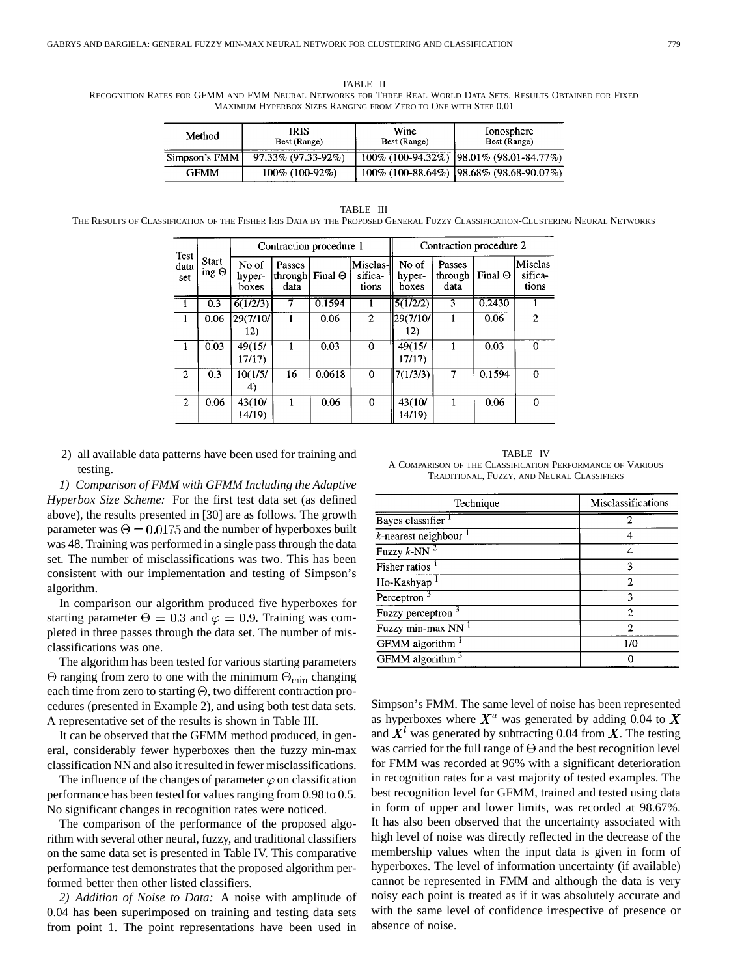TABLE II RECOGNITION RATES FOR GFMM AND FMM NEURAL NETWORKS FOR THREE REAL WORLD DATA SETS. RESULTS OBTAINED FOR FIXED MAXIMUM HYPERBOX SIZES RANGING FROM ZERO TO ONE WITH STEP 0.01

| Method        | <b>IRIS</b><br>Best (Range) | Wine<br>Best (Range) | Ionosphere<br>Best (Range)                  |  |  |  |
|---------------|-----------------------------|----------------------|---------------------------------------------|--|--|--|
| Simpson's FMM | 97.33% (97.33-92%)          |                      | 100% (100-94.32%) [98.01% (98.01-84.77%)    |  |  |  |
| GFMM          | 100% (100-92%)              |                      | $100\%$ (100-88.64%)  98.68% (98.68-90.07%) |  |  |  |

TABLE III THE RESULTS OF CLASSIFICATION OF THE FISHER IRIS DATA BY THE PROPOSED GENERAL FUZZY CLASSIFICATION-CLUSTERING NEURAL NETWORKS

| Test           |                        |                          |                                          | Contraction procedure 1 |                              | Contraction procedure 2  |                           |                |                              |  |
|----------------|------------------------|--------------------------|------------------------------------------|-------------------------|------------------------------|--------------------------|---------------------------|----------------|------------------------------|--|
| data<br>set    | Start-<br>ing $\Theta$ | No of<br>hyper-<br>boxes | Passes<br>through Final $\Theta$<br>data |                         | Misclas-<br>sifica-<br>tions | No of<br>hyper-<br>boxes | Passes<br>through<br>data | Final $\Theta$ | Misclas-<br>sifica-<br>tions |  |
|                | 0.3                    | 6(1/2/3)                 | 7                                        | 0.1594                  |                              | 5(1/2/2)                 | 3                         | 0.2430         |                              |  |
| 1              | 0.06                   | 29(7/10/<br>12)          |                                          | 0.06                    | $\mathbf{2}$                 | 29(7/10/<br>12)          |                           | 0.06           | $\overline{c}$               |  |
| -1             | 0.03                   | 49(15/<br>17/17          |                                          | 0.03                    | $\bf{0}$                     | 49(15/<br>17/17)         |                           | 0.03           | $\Omega$                     |  |
| <sup>2</sup>   | 0.3                    | 10(1/5/<br>4)            | 16                                       | 0.0618                  | $\mathbf{0}$                 | 7(1/3/3)                 |                           | 0.1594         | $\Omega$                     |  |
| $\overline{2}$ | 0.06                   | 43(10/<br>14/19)         |                                          | 0.06                    | $\mathbf 0$                  | 43(10/<br>14/19)         |                           | 0.06           | $\Omega$                     |  |

2) all available data patterns have been used for training and testing.

*1) Comparison of FMM with GFMM Including the Adaptive Hyperbox Size Scheme:* For the first test data set (as defined above), the results presented in [30] are as follows. The growth parameter was  $\Theta = 0.0175$  and the number of hyperboxes built was 48. Training was performed in a single pass through the data set. The number of misclassifications was two. This has been consistent with our implementation and testing of Simpson's algorithm.

In comparison our algorithm produced five hyperboxes for starting parameter  $\Theta = 0.3$  and  $\varphi = 0.9$ . Training was completed in three passes through the data set. The number of misclassifications was one.

The algorithm has been tested for various starting parameters  $\Theta$  ranging from zero to one with the minimum  $\Theta_{\min}$  changing each time from zero to starting  $\Theta$ , two different contraction procedures (presented in Example 2), and using both test data sets. A representative set of the results is shown in Table III.

It can be observed that the GFMM method produced, in general, considerably fewer hyperboxes then the fuzzy min-max classification NN and also it resulted in fewer misclassifications.

The influence of the changes of parameter  $\varphi$  on classification performance has been tested for values ranging from 0.98 to 0.5. No significant changes in recognition rates were noticed.

The comparison of the performance of the proposed algorithm with several other neural, fuzzy, and traditional classifiers on the same data set is presented in Table IV. This comparative performance test demonstrates that the proposed algorithm performed better then other listed classifiers.

*2) Addition of Noise to Data:* A noise with amplitude of 0.04 has been superimposed on training and testing data sets from point 1. The point representations have been used in

TABLE IV A COMPARISON OF THE CLASSIFICATION PERFORMANCE OF VARIOUS TRADITIONAL, FUZZY, AND NEURAL CLASSIFIERS

| Technique                     | Misclassifications |  |  |  |  |  |
|-------------------------------|--------------------|--|--|--|--|--|
| Bayes classifier              |                    |  |  |  |  |  |
| k-nearest neighbour           |                    |  |  |  |  |  |
| Fuzzy $k$ -NN <sup>2</sup>    |                    |  |  |  |  |  |
| Fisher ratios <sup>1</sup>    | ٩                  |  |  |  |  |  |
| Ho-Kashyap                    | 2                  |  |  |  |  |  |
| Perceptron                    | 3                  |  |  |  |  |  |
| Fuzzy perceptron <sup>3</sup> | $\overline{c}$     |  |  |  |  |  |
| Fuzzy min-max NN <sup>1</sup> | っ                  |  |  |  |  |  |
| GFMM algorithm <sup>1</sup>   | 1/0                |  |  |  |  |  |
| GFMM algorithm $3$            |                    |  |  |  |  |  |
|                               |                    |  |  |  |  |  |

Simpson's FMM. The same level of noise has been represented as hyperboxes where  $X^u$  was generated by adding 0.04 to X and  $X<sup>l</sup>$  was generated by subtracting 0.04 from X. The testing was carried for the full range of  $\Theta$  and the best recognition level for FMM was recorded at 96% with a significant deterioration in recognition rates for a vast majority of tested examples. The best recognition level for GFMM, trained and tested using data in form of upper and lower limits, was recorded at 98.67%. It has also been observed that the uncertainty associated with high level of noise was directly reflected in the decrease of the membership values when the input data is given in form of hyperboxes. The level of information uncertainty (if available) cannot be represented in FMM and although the data is very noisy each point is treated as if it was absolutely accurate and with the same level of confidence irrespective of presence or absence of noise.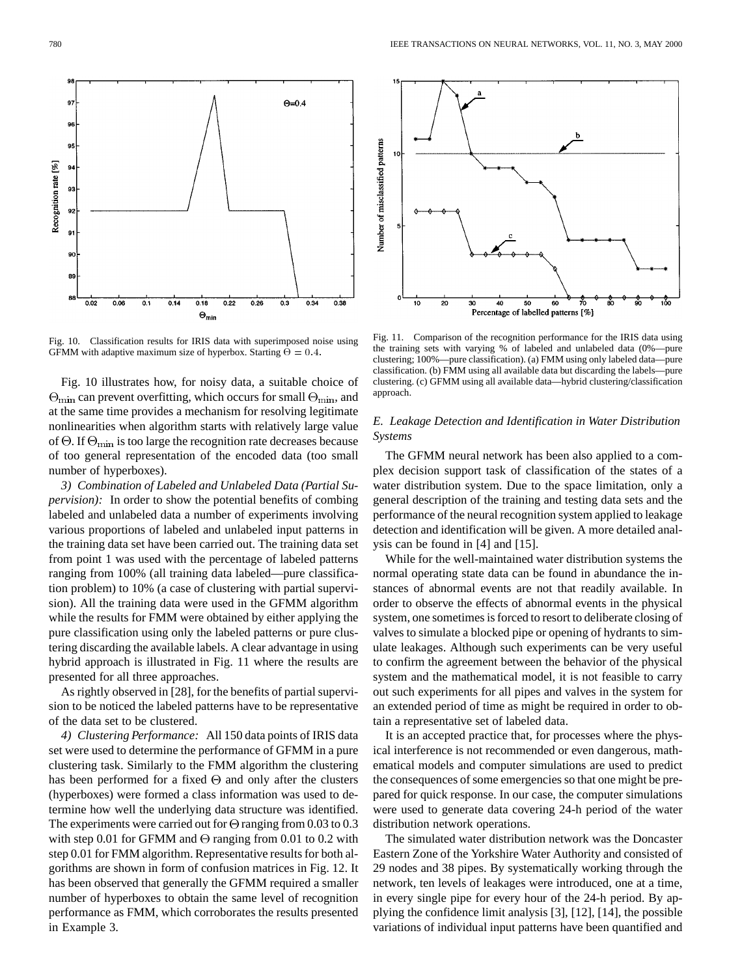Fig. 10. Classification results for IRIS data with superimposed noise using GFMM with adaptive maximum size of hyperbox. Starting  $\dot{\Theta} = 0.4$ .

Fig. 10 illustrates how, for noisy data, a suitable choice of  $\Theta_{\text{min}}$  can prevent overfitting, which occurs for small  $\Theta_{\text{min}}$ , and at the same time provides a mechanism for resolving legitimate nonlinearities when algorithm starts with relatively large value of  $\Theta$ . If  $\Theta_{\text{min}}$  is too large the recognition rate decreases because of too general representation of the encoded data (too small number of hyperboxes).

*3) Combination of Labeled and Unlabeled Data (Partial Supervision):* In order to show the potential benefits of combing labeled and unlabeled data a number of experiments involving various proportions of labeled and unlabeled input patterns in the training data set have been carried out. The training data set from point 1 was used with the percentage of labeled patterns ranging from 100% (all training data labeled—pure classification problem) to 10% (a case of clustering with partial supervision). All the training data were used in the GFMM algorithm while the results for FMM were obtained by either applying the pure classification using only the labeled patterns or pure clustering discarding the available labels. A clear advantage in using hybrid approach is illustrated in Fig. 11 where the results are presented for all three approaches.

As rightly observed in [28], for the benefits of partial supervision to be noticed the labeled patterns have to be representative of the data set to be clustered.

*4) Clustering Performance:* All 150 data points of IRIS data set were used to determine the performance of GFMM in a pure clustering task. Similarly to the FMM algorithm the clustering has been performed for a fixed  $\Theta$  and only after the clusters (hyperboxes) were formed a class information was used to determine how well the underlying data structure was identified. The experiments were carried out for  $\Theta$  ranging from 0.03 to 0.3 with step 0.01 for GFMM and  $\Theta$  ranging from 0.01 to 0.2 with step 0.01 for FMM algorithm. Representative results for both algorithms are shown in form of confusion matrices in Fig. 12. It has been observed that generally the GFMM required a smaller number of hyperboxes to obtain the same level of recognition performance as FMM, which corroborates the results presented in Example 3.

Fig. 11. Comparison of the recognition performance for the IRIS data using the training sets with varying % of labeled and unlabeled data (0%—pure clustering; 100%—pure classification). (a) FMM using only labeled data—pure classification. (b) FMM using all available data but discarding the labels—pure clustering. (c) GFMM using all available data—hybrid clustering/classification approach.

60 Percentage of labelled patterns [%]

40

# *E. Leakage Detection and Identification in Water Distribution Systems*

The GFMM neural network has been also applied to a complex decision support task of classification of the states of a water distribution system. Due to the space limitation, only a general description of the training and testing data sets and the performance of the neural recognition system applied to leakage detection and identification will be given. A more detailed analysis can be found in [4] and [15].

While for the well-maintained water distribution systems the normal operating state data can be found in abundance the instances of abnormal events are not that readily available. In order to observe the effects of abnormal events in the physical system, one sometimes is forced to resort to deliberate closing of valves to simulate a blocked pipe or opening of hydrants to simulate leakages. Although such experiments can be very useful to confirm the agreement between the behavior of the physical system and the mathematical model, it is not feasible to carry out such experiments for all pipes and valves in the system for an extended period of time as might be required in order to obtain a representative set of labeled data.

It is an accepted practice that, for processes where the physical interference is not recommended or even dangerous, mathematical models and computer simulations are used to predict the consequences of some emergencies so that one might be prepared for quick response. In our case, the computer simulations were used to generate data covering 24-h period of the water distribution network operations.

The simulated water distribution network was the Doncaster Eastern Zone of the Yorkshire Water Authority and consisted of 29 nodes and 38 pipes. By systematically working through the network, ten levels of leakages were introduced, one at a time, in every single pipe for every hour of the 24-h period. By applying the confidence limit analysis [3], [12], [14], the possible variations of individual input patterns have been quantified and



Number of misclassified patterns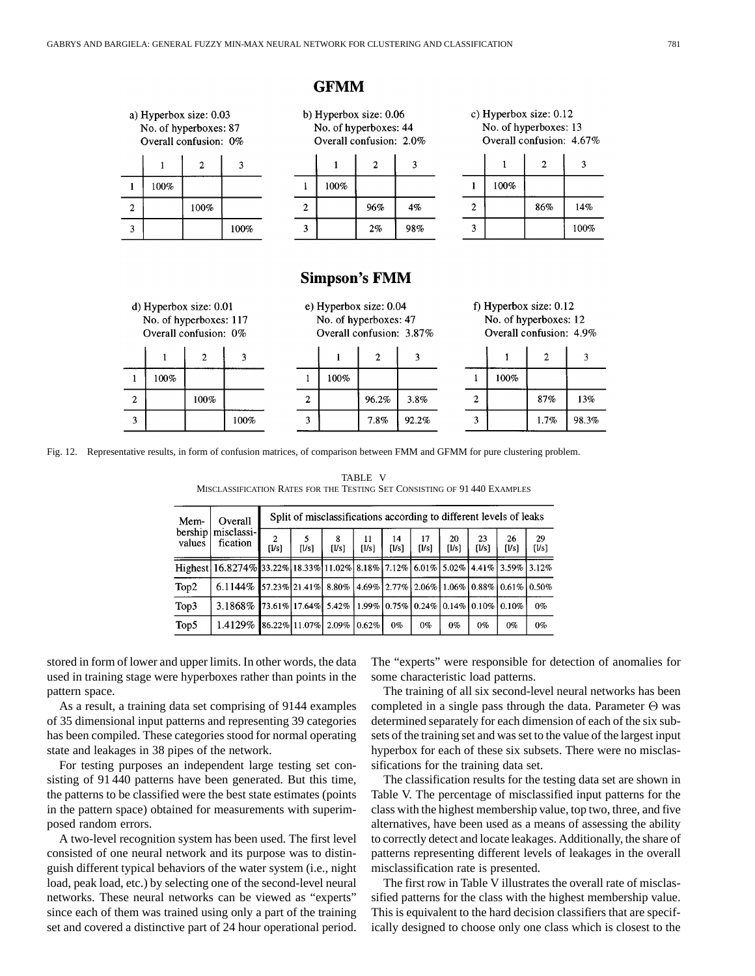| a) Hyperbox size: 0.03<br>No. of hyperboxes: 87<br>Overall confusion: 0%    |              |                | b) Hyperbox size: 0.06<br>No. of hyperboxes: 44<br>Overall confusion: 2.0% |  |                |      | c) Hyperbox size: $0.12$<br>No. of hyperboxes: 13<br>Overall confusion: 4.67%                |       |                |              |                                                                              |       |
|-----------------------------------------------------------------------------|--------------|----------------|----------------------------------------------------------------------------|--|----------------|------|----------------------------------------------------------------------------------------------|-------|----------------|--------------|------------------------------------------------------------------------------|-------|
|                                                                             | $\mathbf{1}$ | $\overline{2}$ | 3                                                                          |  |                | 1    | $\overline{2}$                                                                               | 3     |                | $\mathbf{1}$ | $\mathbf{2}$                                                                 | 3     |
| 1                                                                           | 100%         |                |                                                                            |  | 1              | 100% |                                                                                              |       | 1              | 100%         |                                                                              |       |
| $\overline{2}$                                                              |              | 100%           |                                                                            |  | $\overline{2}$ |      | 96%                                                                                          | 4%    | $\overline{2}$ |              | 86%                                                                          | 14%   |
| 3                                                                           |              |                | 100%                                                                       |  | 3              |      | $2\%$                                                                                        | 98%   | 3              |              |                                                                              | 100%  |
| $d)$ Hyperbox size: 0.01<br>No. of hyperboxes: 117<br>Overall confusion: 0% |              |                |                                                                            |  |                |      | Simpson's FMM<br>e) Hyperbox size: 0.04<br>No. of hyperboxes: 47<br>Overall confusion: 3.87% |       |                |              | f) Hyperbox size: $0.12$<br>No. of hyperboxes: 12<br>Overall confusion: 4.9% |       |
|                                                                             | $\mathbf{1}$ | $\overline{2}$ | 3                                                                          |  |                | 1    | $\overline{2}$                                                                               | 3     |                | 1            | $\overline{2}$                                                               | 3     |
| $\mathbf{1}$                                                                | 100%         |                |                                                                            |  | 1              | 100% |                                                                                              |       | 1              | 100%         |                                                                              |       |
| $\mathbf{2}$                                                                |              | 100%           |                                                                            |  | $\overline{2}$ |      | 96.2%                                                                                        | 3.8%  | $\overline{2}$ |              | 87%                                                                          | 13%   |
| 3                                                                           |              |                | 100%                                                                       |  | 3              |      | 7.8%                                                                                         | 92.2% | 3              |              | 1.7%                                                                         | 98.3% |

**GFMM** 

Fig. 12. Representative results, in form of confusion matrices, of comparison between FMM and GFMM for pure clustering problem.

MISCLASSIFICATION RATES FOR THE TESTING SET CONSISTING OF 91 440 EXAMPLES Split of misclassifications according to different levels of leaks Mem-Overall bership misclassi  $\gamma$ 8  $11$  $14$  $17$  $20$  $23$ 26  $20$ values fication  $[1/s]$  $1/s1$  $[1/s]$  $[1/s]$  $[1/s]$  $[Us]$  $[Us]$  $[1/s]$  $[1/s]$  $[Us]$ 16.8274% 1833% 11.02% 818%  $712%$ 6.01% 5.02%  $441%$  $3.59%$ 3.12% Highest 13 229

4.69%

1.99%

 $0.62%$ 

2.77%

 $0.75%$ 

 $0%$ 

2.06%

 $0.24%$ 

 $0\%$ 

1.06%

 $0.14%$ 

 $0\%$ 

0.88%

 $0.10%$ 

0%

0.61%

 $0.10%$ 

0%

0.50%

 $0\%$ 

 $0\%$ 

TABLE V

stored in form of lower and upper limits. In other words, the data used in training stage were hyperboxes rather than points in the pattern space.

Top2 Top3

Top5

6.1144%

3.1868%

1.4129%

57.23%

73.61%

86.22%

21.41%

17.649

11.07%

8.80%

5.42%

2.09%

As a result, a training data set comprising of 9144 examples of 35 dimensional input patterns and representing 39 categories has been compiled. These categories stood for normal operating state and leakages in 38 pipes of the network.

For testing purposes an independent large testing set consisting of 91 440 patterns have been generated. But this time, the patterns to be classified were the best state estimates (points in the pattern space) obtained for measurements with superimposed random errors.

A two-level recognition system has been used. The first level consisted of one neural network and its purpose was to distinguish different typical behaviors of the water system (i.e., night load, peak load, etc.) by selecting one of the second-level neural networks. These neural networks can be viewed as "experts" since each of them was trained using only a part of the training set and covered a distinctive part of 24 hour operational period. The "experts" were responsible for detection of anomalies for some characteristic load patterns.

The training of all six second-level neural networks has been completed in a single pass through the data. Parameter  $\Theta$  was determined separately for each dimension of each of the six subsets of the training set and was set to the value of the largest input hyperbox for each of these six subsets. There were no misclassifications for the training data set.

The classification results for the testing data set are shown in Table V. The percentage of misclassified input patterns for the class with the highest membership value, top two, three, and five alternatives, have been used as a means of assessing the ability to correctly detect and locate leakages. Additionally, the share of patterns representing different levels of leakages in the overall misclassification rate is presented.

The first row in Table V illustrates the overall rate of misclassified patterns for the class with the highest membership value. This is equivalent to the hard decision classifiers that are specifically designed to choose only one class which is closest to the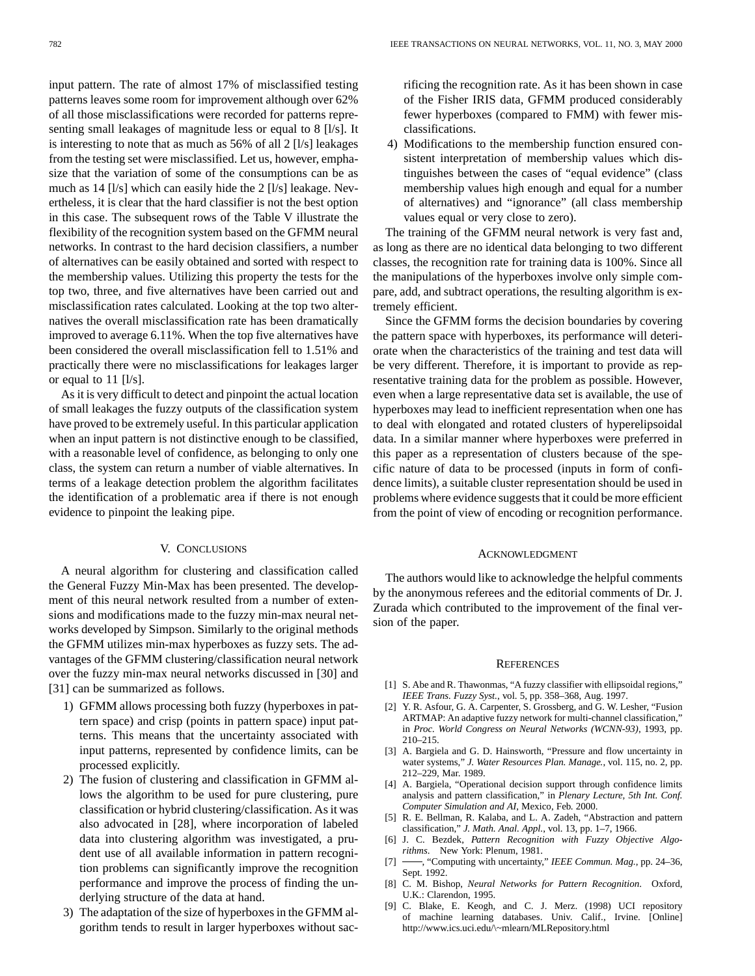input pattern. The rate of almost 17% of misclassified testing patterns leaves some room for improvement although over 62% of all those misclassifications were recorded for patterns representing small leakages of magnitude less or equal to 8 [l/s]. It is interesting to note that as much as 56% of all 2 [l/s] leakages from the testing set were misclassified. Let us, however, emphasize that the variation of some of the consumptions can be as much as 14 [l/s] which can easily hide the 2 [l/s] leakage. Nevertheless, it is clear that the hard classifier is not the best option in this case. The subsequent rows of the Table V illustrate the flexibility of the recognition system based on the GFMM neural networks. In contrast to the hard decision classifiers, a number of alternatives can be easily obtained and sorted with respect to the membership values. Utilizing this property the tests for the top two, three, and five alternatives have been carried out and misclassification rates calculated. Looking at the top two alternatives the overall misclassification rate has been dramatically improved to average 6.11%. When the top five alternatives have been considered the overall misclassification fell to 1.51% and practically there were no misclassifications for leakages larger or equal to 11 [l/s].

As it is very difficult to detect and pinpoint the actual location of small leakages the fuzzy outputs of the classification system have proved to be extremely useful. In this particular application when an input pattern is not distinctive enough to be classified, with a reasonable level of confidence, as belonging to only one class, the system can return a number of viable alternatives. In terms of a leakage detection problem the algorithm facilitates the identification of a problematic area if there is not enough evidence to pinpoint the leaking pipe.

## V. CONCLUSIONS

A neural algorithm for clustering and classification called the General Fuzzy Min-Max has been presented. The development of this neural network resulted from a number of extensions and modifications made to the fuzzy min-max neural networks developed by Simpson. Similarly to the original methods the GFMM utilizes min-max hyperboxes as fuzzy sets. The advantages of the GFMM clustering/classification neural network over the fuzzy min-max neural networks discussed in [30] and [31] can be summarized as follows.

- 1) GFMM allows processing both fuzzy (hyperboxes in pattern space) and crisp (points in pattern space) input patterns. This means that the uncertainty associated with input patterns, represented by confidence limits, can be processed explicitly.
- 2) The fusion of clustering and classification in GFMM allows the algorithm to be used for pure clustering, pure classification or hybrid clustering/classification. As it was also advocated in [28], where incorporation of labeled data into clustering algorithm was investigated, a prudent use of all available information in pattern recognition problems can significantly improve the recognition performance and improve the process of finding the underlying structure of the data at hand.
- 3) The adaptation of the size of hyperboxes in the GFMM algorithm tends to result in larger hyperboxes without sac-

rificing the recognition rate. As it has been shown in case of the Fisher IRIS data, GFMM produced considerably fewer hyperboxes (compared to FMM) with fewer misclassifications.

4) Modifications to the membership function ensured consistent interpretation of membership values which distinguishes between the cases of "equal evidence" (class membership values high enough and equal for a number of alternatives) and "ignorance" (all class membership values equal or very close to zero).

The training of the GFMM neural network is very fast and, as long as there are no identical data belonging to two different classes, the recognition rate for training data is 100%. Since all the manipulations of the hyperboxes involve only simple compare, add, and subtract operations, the resulting algorithm is extremely efficient.

Since the GFMM forms the decision boundaries by covering the pattern space with hyperboxes, its performance will deteriorate when the characteristics of the training and test data will be very different. Therefore, it is important to provide as representative training data for the problem as possible. However, even when a large representative data set is available, the use of hyperboxes may lead to inefficient representation when one has to deal with elongated and rotated clusters of hyperelipsoidal data. In a similar manner where hyperboxes were preferred in this paper as a representation of clusters because of the specific nature of data to be processed (inputs in form of confidence limits), a suitable cluster representation should be used in problems where evidence suggests that it could be more efficient from the point of view of encoding or recognition performance.

#### ACKNOWLEDGMENT

The authors would like to acknowledge the helpful comments by the anonymous referees and the editorial comments of Dr. J. Zurada which contributed to the improvement of the final version of the paper.

#### **REFERENCES**

- [1] S. Abe and R. Thawonmas, "A fuzzy classifier with ellipsoidal regions," *IEEE Trans. Fuzzy Syst.*, vol. 5, pp. 358–368, Aug. 1997.
- [2] Y. R. Asfour, G. A. Carpenter, S. Grossberg, and G. W. Lesher, "Fusion ARTMAP: An adaptive fuzzy network for multi-channel classification," in *Proc. World Congress on Neural Networks (WCNN-93)*, 1993, pp. 210–215.
- [3] A. Bargiela and G. D. Hainsworth, "Pressure and flow uncertainty in water systems," *J. Water Resources Plan. Manage.*, vol. 115, no. 2, pp. 212–229, Mar. 1989.
- [4] A. Bargiela, "Operational decision support through confidence limits analysis and pattern classification," in *Plenary Lecture, 5th Int. Conf. Computer Simulation and AI*, Mexico, Feb. 2000.
- [5] R. E. Bellman, R. Kalaba, and L. A. Zadeh, "Abstraction and pattern classification," *J. Math. Anal. Appl.*, vol. 13, pp. 1–7, 1966.
- [6] J. C. Bezdek, *Pattern Recognition with Fuzzy Objective Algorithms*. New York: Plenum, 1981.
- [7] -, "Computing with uncertainty," *IEEE Commun. Mag.*, pp. 24–36, Sept. 1992.
- [8] C. M. Bishop, *Neural Networks for Pattern Recognition*. Oxford, U.K.: Clarendon, 1995.
- [9] C. Blake, E. Keogh, and C. J. Merz. (1998) UCI repository of machine learning databases. Univ. Calif., Irvine. [Online] http://www.ics.uci.edu/\~mlearn/MLRepository.html